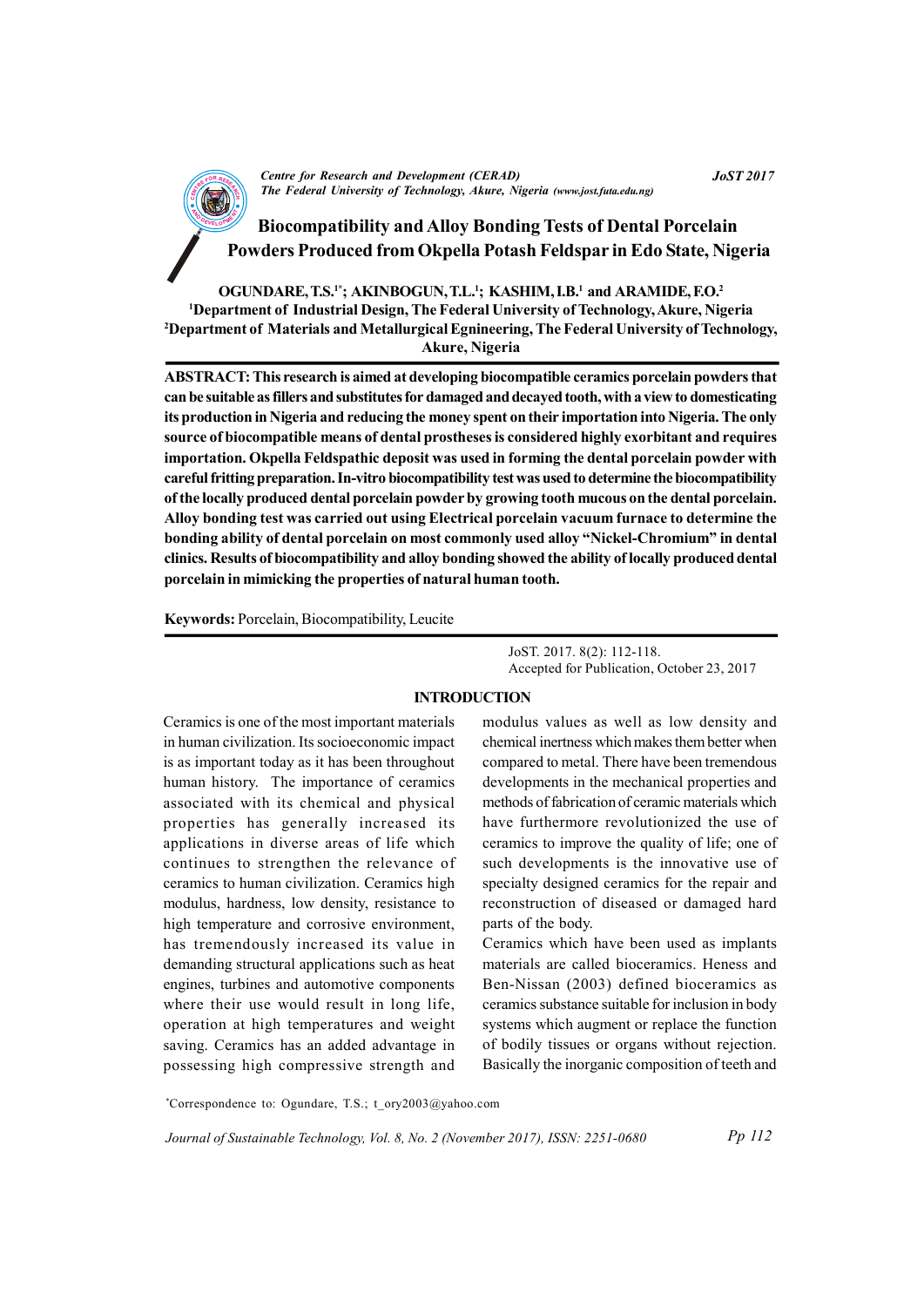CENTRE FOR RESEARCH AND DEVELOPMENT (CENTRE)<br>The Federal University of Technology, Akure, Nigeria (www.jost.futa.edu.ng) Centre for Research and Development (CERAD)

**AND Biocompatibility and Alloy Bonding Tests of Dental Porcelain** Powders Produced from Okpella Potash Feldspar in Edo State, Nigeria

OGUNDARE, T.S.<sup>1\*</sup>; AKINBOGUN, T.L.<sup>1</sup>; KASHIM, I.B.<sup>1</sup> and ARAMIDE, F.O.<sup>2</sup> <sup>1</sup>Department of Industrial Design, The Federal University of Technology, Akure, Nigeria <sup>2</sup>Department of Materials and Metallurgical Egnineering, The Federal University of Technology, Akure, Nigeria

ABSTRACT: This research is aimed at developing biocompatible ceramics porcelain powders that can be suitable as fillers and substitutes for damaged and decayed tooth, with a view to domesticating its production in Nigeria and reducing the money spent on their importation into Nigeria. The only source of biocompatible means of dental prostheses is considered highly exorbitant and requires importation. Okpella Feldspathic deposit was used in forming the dental porcelain powder with careful fritting preparation. In-vitro biocompatibility test was used to determine the biocompatibility of the locally produced dental porcelain powder by growing tooth mucous on the dental porcelain. Alloy bonding test was carried out using Electrical porcelain vacuum furnace to determine the bonding ability of dental porcelain on most commonly used alloy "Nickel-Chromium" in dental clinics. Results of biocompatibility and alloy bonding showed the ability of locally produced dental porcelain in mimicking the properties of natural human tooth.

Keywords: Porcelain, Biocompatibility, Leucite

JoST. 2017. 8(2): 112-118. Accepted for Publication, October 23, 2017

### INTRODUCTION

Ceramics is one of the most important materials in human civilization. Its socioeconomic impact is as important today as it has been throughout human history. The importance of ceramics associated with its chemical and physical properties has generally increased its applications in diverse areas of life which continues to strengthen the relevance of ceramics to human civilization. Ceramics high modulus, hardness, low density, resistance to high temperature and corrosive environment, has tremendously increased its value in demanding structural applications such as heat engines, turbines and automotive components where their use would result in long life, operation at high temperatures and weight saving. Ceramics has an added advantage in possessing high compressive strength and

modulus values as well as low density and chemical inertness which makes them better when compared to metal. There have been tremendous developments in the mechanical properties and methods of fabrication of ceramic materials which have furthermore revolutionized the use of ceramics to improve the quality of life; one of such developments is the innovative use of specialty designed ceramics for the repair and reconstruction of diseased or damaged hard parts of the body.

Ceramics which have been used as implants materials are called bioceramics. Heness and Ben-Nissan (2003) defined bioceramics as ceramics substance suitable for inclusion in body systems which augment or replace the function of bodily tissues or organs without rejection. Basically the inorganic composition of teeth and

\*Correspondence to: Ogundare, T.S.; t\_ory2003@yahoo.com

Journal of Sustainable Technology, Vol. 8, No. 2 (November 2017), ISSN: 2251-0680

Pp 112

JoST 2017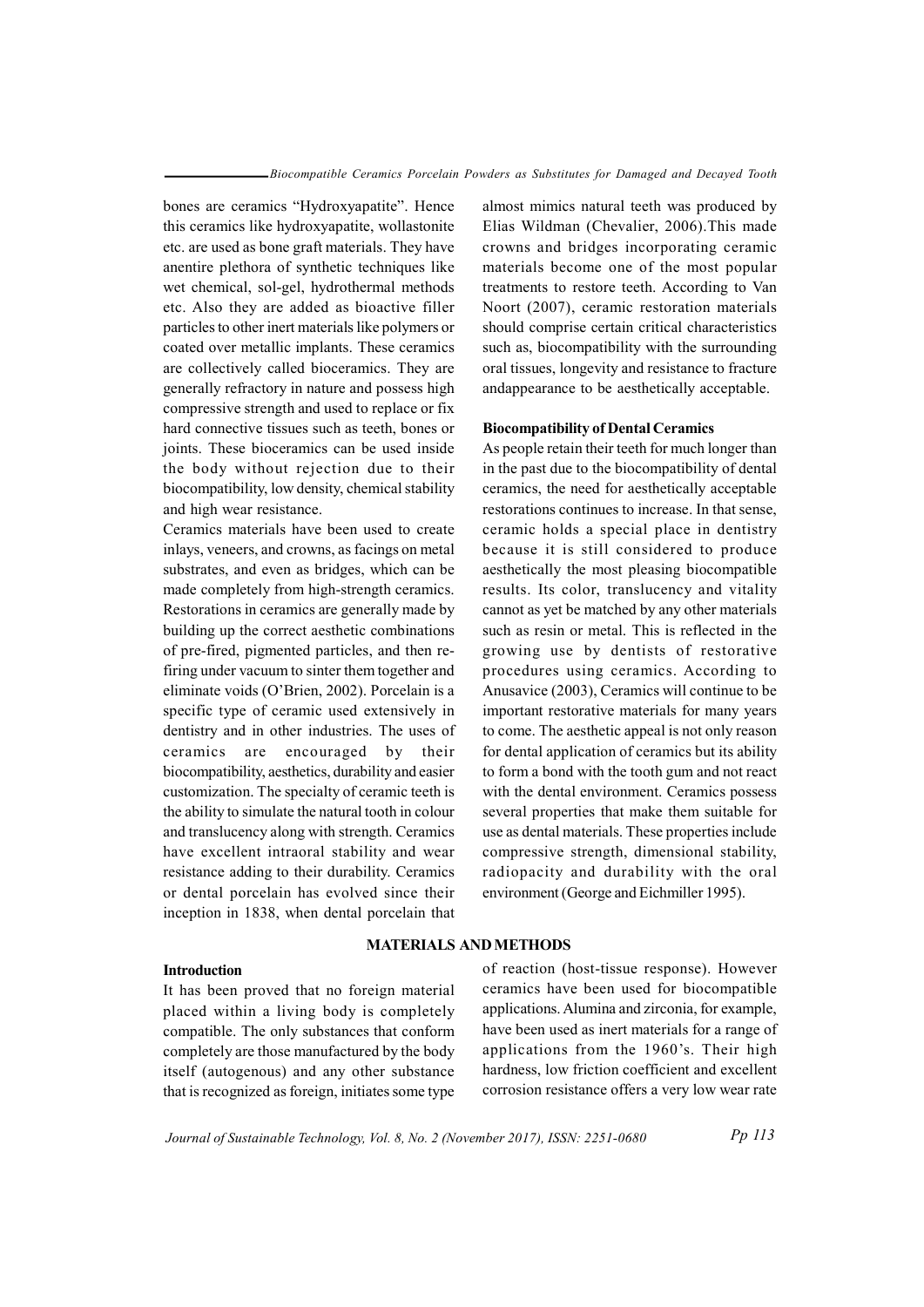bones are ceramics "Hydroxyapatite". Hence this ceramics like hydroxyapatite, wollastonite etc. are used as bone graft materials. They have anentire plethora of synthetic techniques like wet chemical, sol-gel, hydrothermal methods etc. Also they are added as bioactive filler particles to other inert materials like polymers or coated over metallic implants. These ceramics are collectively called bioceramics. They are generally refractory in nature and possess high compressive strength and used to replace or fix hard connective tissues such as teeth, bones or joints. These bioceramics can be used inside the body without rejection due to their biocompatibility, low density, chemical stability and high wear resistance.

Ceramics materials have been used to create inlays, veneers, and crowns, as facings on metal substrates, and even as bridges, which can be made completely from high-strength ceramics. Restorations in ceramics are generally made by building up the correct aesthetic combinations of pre-fired, pigmented particles, and then refiring under vacuum to sinter them together and eliminate voids (O'Brien, 2002). Porcelain is a specific type of ceramic used extensively in dentistry and in other industries. The uses of ceramics are encouraged by their biocompatibility, aesthetics, durability and easier customization. The specialty of ceramic teeth is the ability to simulate the natural tooth in colour and translucency along with strength. Ceramics have excellent intraoral stability and wear resistance adding to their durability. Ceramics or dental porcelain has evolved since their inception in 1838, when dental porcelain that

# almost mimics natural teeth was produced by Elias Wildman (Chevalier, 2006).This made crowns and bridges incorporating ceramic materials become one of the most popular treatments to restore teeth. According to Van Noort (2007), ceramic restoration materials should comprise certain critical characteristics such as, biocompatibility with the surrounding oral tissues, longevity and resistance to fracture andappearance to be aesthetically acceptable.

#### Biocompatibility of Dental Ceramics

As people retain their teeth for much longer than in the past due to the biocompatibility of dental ceramics, the need for aesthetically acceptable restorations continues to increase. In that sense, ceramic holds a special place in dentistry because it is still considered to produce aesthetically the most pleasing biocompatible results. Its color, translucency and vitality cannot as yet be matched by any other materials such as resin or metal. This is reflected in the growing use by dentists of restorative procedures using ceramics. According to Anusavice (2003), Ceramics will continue to be important restorative materials for many years to come. The aesthetic appeal is not only reason for dental application of ceramics but its ability to form a bond with the tooth gum and not react with the dental environment. Ceramics possess several properties that make them suitable for use as dental materials. These properties include compressive strength, dimensional stability, radiopacity and durability with the oral environment (George and Eichmiller 1995).

#### Introduction

It has been proved that no foreign material placed within a living body is completely compatible. The only substances that conform completely are those manufactured by the body itself (autogenous) and any other substance that is recognized as foreign, initiates some type

MATERIALS AND METHODS

of reaction (host-tissue response). However ceramics have been used for biocompatible applications. Alumina and zirconia, for example, have been used as inert materials for a range of applications from the 1960's. Their high hardness, low friction coefficient and excellent corrosion resistance offers a very low wear rate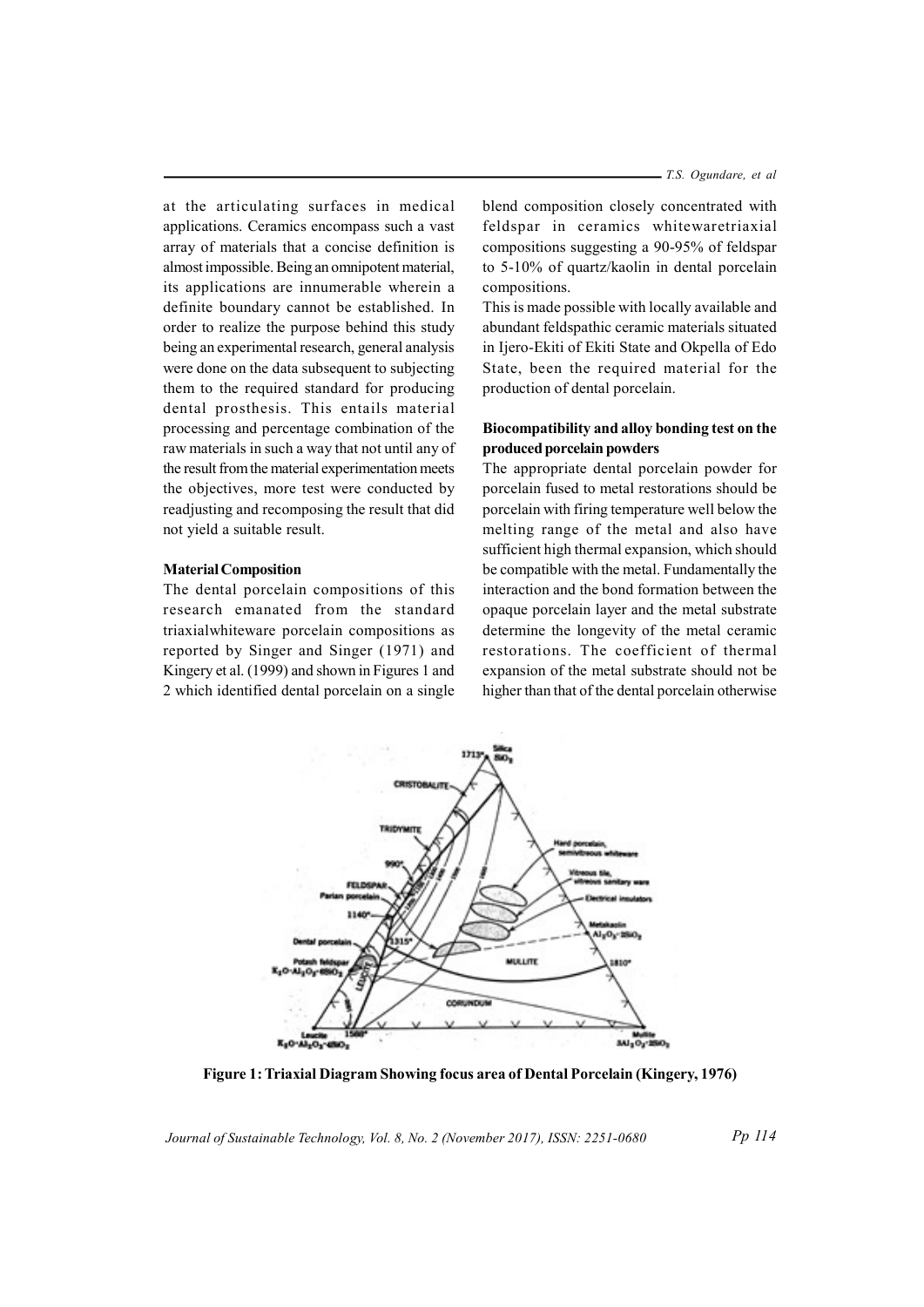T.S. Ogundare, et al

at the articulating surfaces in medical applications. Ceramics encompass such a vast array of materials that a concise definition is almost impossible. Being an omnipotent material, its applications are innumerable wherein a definite boundary cannot be established. In order to realize the purpose behind this study being an experimental research, general analysis were done on the data subsequent to subjecting them to the required standard for producing dental prosthesis. This entails material processing and percentage combination of the raw materials in such a way that not until any of the result from the material experimentation meets the objectives, more test were conducted by readjusting and recomposing the result that did not yield a suitable result.

# Material Composition

The dental porcelain compositions of this research emanated from the standard triaxialwhiteware porcelain compositions as reported by Singer and Singer (1971) and Kingery et al. (1999) and shown in Figures 1 and 2 which identified dental porcelain on a single

blend composition closely concentrated with feldspar in ceramics whitewaretriaxial compositions suggesting a 90-95% of feldspar to 5-10% of quartz/kaolin in dental porcelain compositions.

This is made possible with locally available and abundant feldspathic ceramic materials situated in Ijero-Ekiti of Ekiti State and Okpella of Edo State, been the required material for the production of dental porcelain.

# Biocompatibility and alloy bonding test on the produced porcelain powders

The appropriate dental porcelain powder for porcelain fused to metal restorations should be porcelain with firing temperature well below the melting range of the metal and also have sufficient high thermal expansion, which should be compatible with the metal. Fundamentally the interaction and the bond formation between the opaque porcelain layer and the metal substrate determine the longevity of the metal ceramic restorations. The coefficient of thermal expansion of the metal substrate should not be higher than that of the dental porcelain otherwise



Figure 1: Triaxial Diagram Showing focus area of Dental Porcelain (Kingery, 1976)

Journal of Sustainable Technology, Vol. 8, No. 2 (November 2017), ISSN: 2251-0680

Pp 114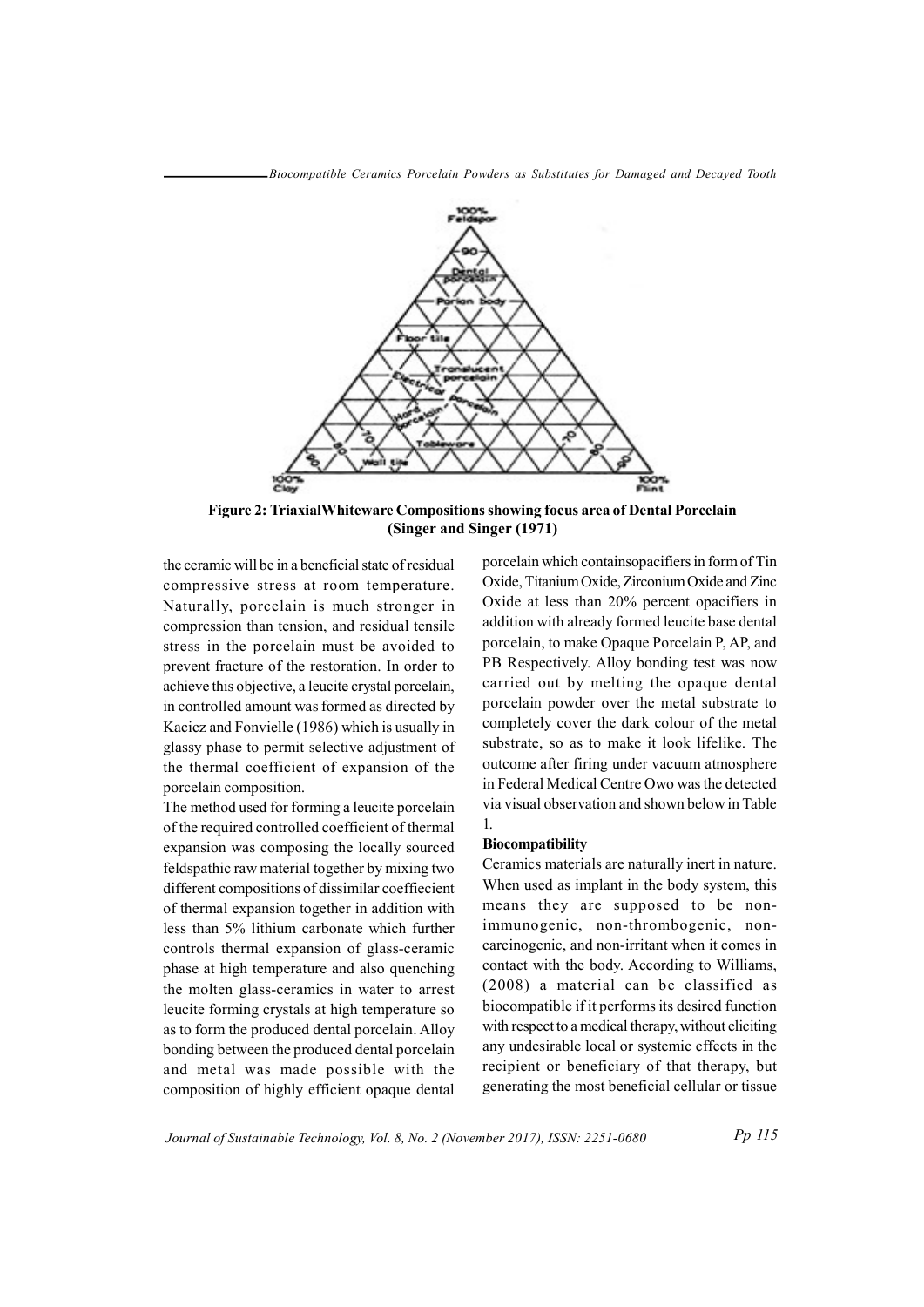Biocompatible Ceramics Porcelain Powders as Substitutes for Damaged and Decayed Tooth



Figure 2: TriaxialWhiteware Compositions showing focus area of Dental Porcelain (Singer and Singer (1971)

the ceramic will be in a beneficial state of residual compressive stress at room temperature. Naturally, porcelain is much stronger in compression than tension, and residual tensile stress in the porcelain must be avoided to prevent fracture of the restoration. In order to achieve this objective, a leucite crystal porcelain, in controlled amount was formed as directed by Kacicz and Fonvielle (1986) which is usually in glassy phase to permit selective adjustment of the thermal coefficient of expansion of the porcelain composition.

The method used for forming a leucite porcelain of the required controlled coefficient of thermal expansion was composing the locally sourced feldspathic raw material together by mixing two different compositions of dissimilar coeffiecient of thermal expansion together in addition with less than 5% lithium carbonate which further controls thermal expansion of glass-ceramic phase at high temperature and also quenching the molten glass-ceramics in water to arrest leucite forming crystals at high temperature so as to form the produced dental porcelain. Alloy bonding between the produced dental porcelain and metal was made possible with the composition of highly efficient opaque dental porcelain which containsopacifiers in form of Tin Oxide, Titanium Oxide, Zirconium Oxide and Zinc Oxide at less than 20% percent opacifiers in addition with already formed leucite base dental porcelain, to make Opaque Porcelain P, AP, and PB Respectively. Alloy bonding test was now carried out by melting the opaque dental porcelain powder over the metal substrate to completely cover the dark colour of the metal substrate, so as to make it look lifelike. The outcome after firing under vacuum atmosphere in Federal Medical Centre Owo was the detected via visual observation and shown below in Table 1.

#### Biocompatibility

Ceramics materials are naturally inert in nature. When used as implant in the body system, this means they are supposed to be nonimmunogenic, non-thrombogenic, noncarcinogenic, and non-irritant when it comes in contact with the body. According to Williams, (2008) a material can be classified as biocompatible if it performs its desired function with respect to a medical therapy, without eliciting any undesirable local or systemic effects in the recipient or beneficiary of that therapy, but generating the most beneficial cellular or tissue

Journal of Sustainable Technology, Vol. 8, No. 2 (November 2017), ISSN: 2251-0680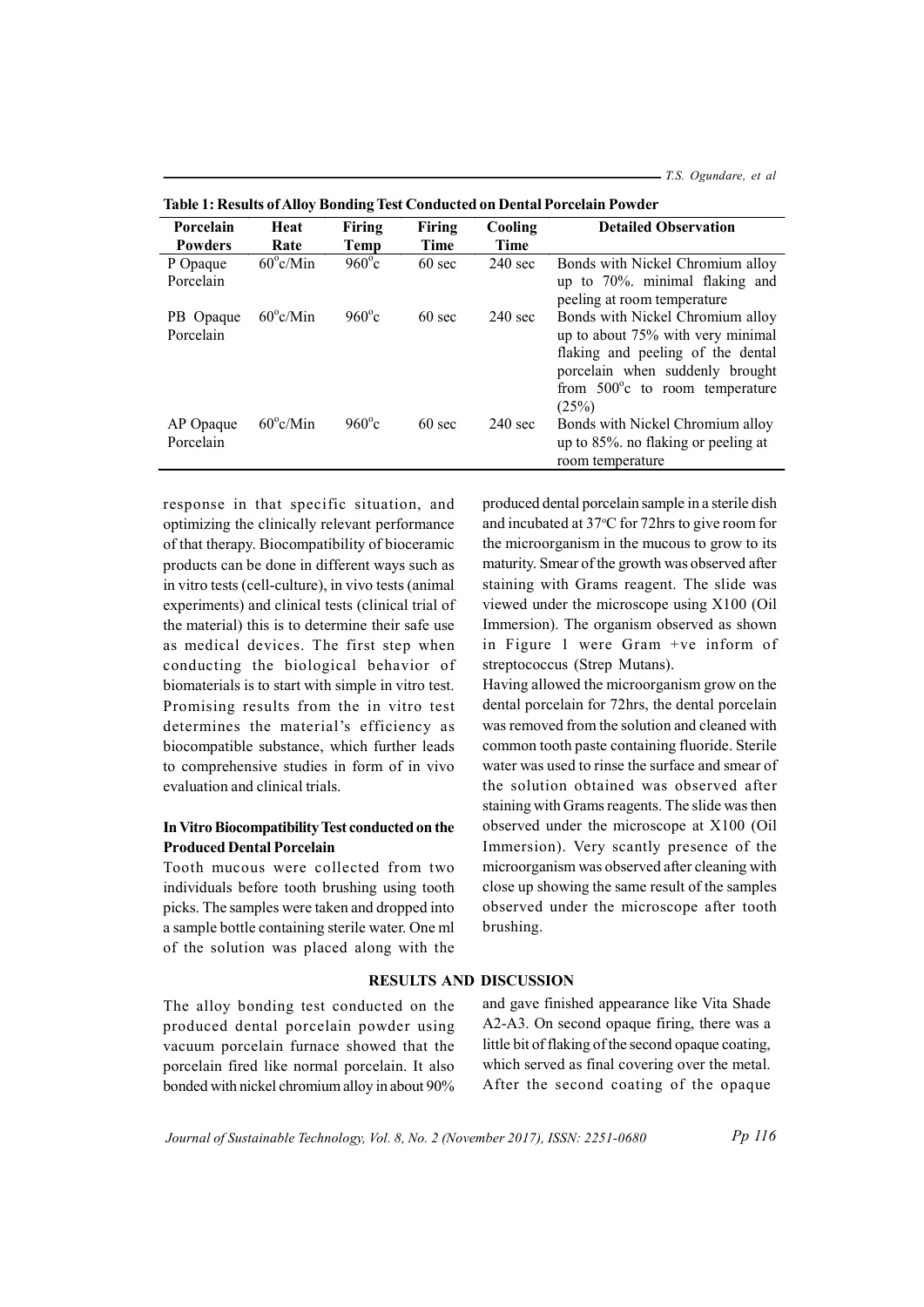T.S. Ogundare, et al

| Porcelain              | Heat               | <b>Firing</b>   | Firing           | Cooling           | <b>Detailed Observation</b>                                                                                                                                                                        |
|------------------------|--------------------|-----------------|------------------|-------------------|----------------------------------------------------------------------------------------------------------------------------------------------------------------------------------------------------|
| <b>Powders</b>         | Rate               | Temp            | Time             | Time              |                                                                                                                                                                                                    |
| P Opaque<br>Porcelain  | $60^{\circ}$ c/Min | $960^{\circ}$ c | $60 \text{ sec}$ | $240 \text{ sec}$ | Bonds with Nickel Chromium alloy<br>up to $70\%$ . minimal flaking and<br>peeling at room temperature                                                                                              |
| PB Opaque<br>Porcelain | $60^{\circ}$ c/Min | $960^{\circ}c$  | $60 \text{ sec}$ | $240 \text{ sec}$ | Bonds with Nickel Chromium alloy<br>up to about 75% with very minimal<br>flaking and peeling of the dental<br>porcelain when suddenly brought<br>from $500^{\circ}$ c to room temperature<br>(25%) |
| AP Opaque<br>Porcelain | $60^{\circ}$ c/Min | $960^{\circ}c$  | $60 \text{ sec}$ | $240 \text{ sec}$ | Bonds with Nickel Chromium alloy<br>up to 85%, no flaking or peeling at<br>room temperature                                                                                                        |

|  |  | Table 1: Results of Alloy Bonding Test Conducted on Dental Porcelain Powder |  |
|--|--|-----------------------------------------------------------------------------|--|
|  |  |                                                                             |  |

response in that specific situation, and optimizing the clinically relevant performance of that therapy. Biocompatibility of bioceramic products can be done in different ways such as in vitro tests (cell-culture), in vivo tests (animal experiments) and clinical tests (clinical trial of the material) this is to determine their safe use as medical devices. The first step when conducting the biological behavior of biomaterials is to start with simple in vitro test. Promising results from the in vitro test determines the material's efficiency as biocompatible substance, which further leads to comprehensive studies in form of in vivo evaluation and clinical trials.

# In Vitro Biocompatibility Test conducted on the Produced Dental Porcelain

Tooth mucous were collected from two individuals before tooth brushing using tooth picks. The samples were taken and dropped into a sample bottle containing sterile water. One ml of the solution was placed along with the

produced dental porcelain sample in a sterile dish and incubated at  $37^{\circ}$ C for 72hrs to give room for the microorganism in the mucous to grow to its maturity. Smear of the growth was observed after staining with Grams reagent. The slide was viewed under the microscope using X100 (Oil Immersion). The organism observed as shown in Figure 1 were Gram +ve inform of streptococcus (Strep Mutans).

Having allowed the microorganism grow on the dental porcelain for 72hrs, the dental porcelain was removed from the solution and cleaned with common tooth paste containing fluoride. Sterile water was used to rinse the surface and smear of the solution obtained was observed after staining with Grams reagents. The slide was then observed under the microscope at X100 (Oil Immersion). Very scantly presence of the microorganism was observed after cleaning with close up showing the same result of the samples observed under the microscope after tooth brushing.

# RESULTS AND DISCUSSION

The alloy bonding test conducted on the produced dental porcelain powder using vacuum porcelain furnace showed that the porcelain fired like normal porcelain. It also bonded with nickel chromium alloy in about 90%

and gave finished appearance like Vita Shade A2-A3. On second opaque firing, there was a little bit of flaking of the second opaque coating, which served as final covering over the metal. After the second coating of the opaque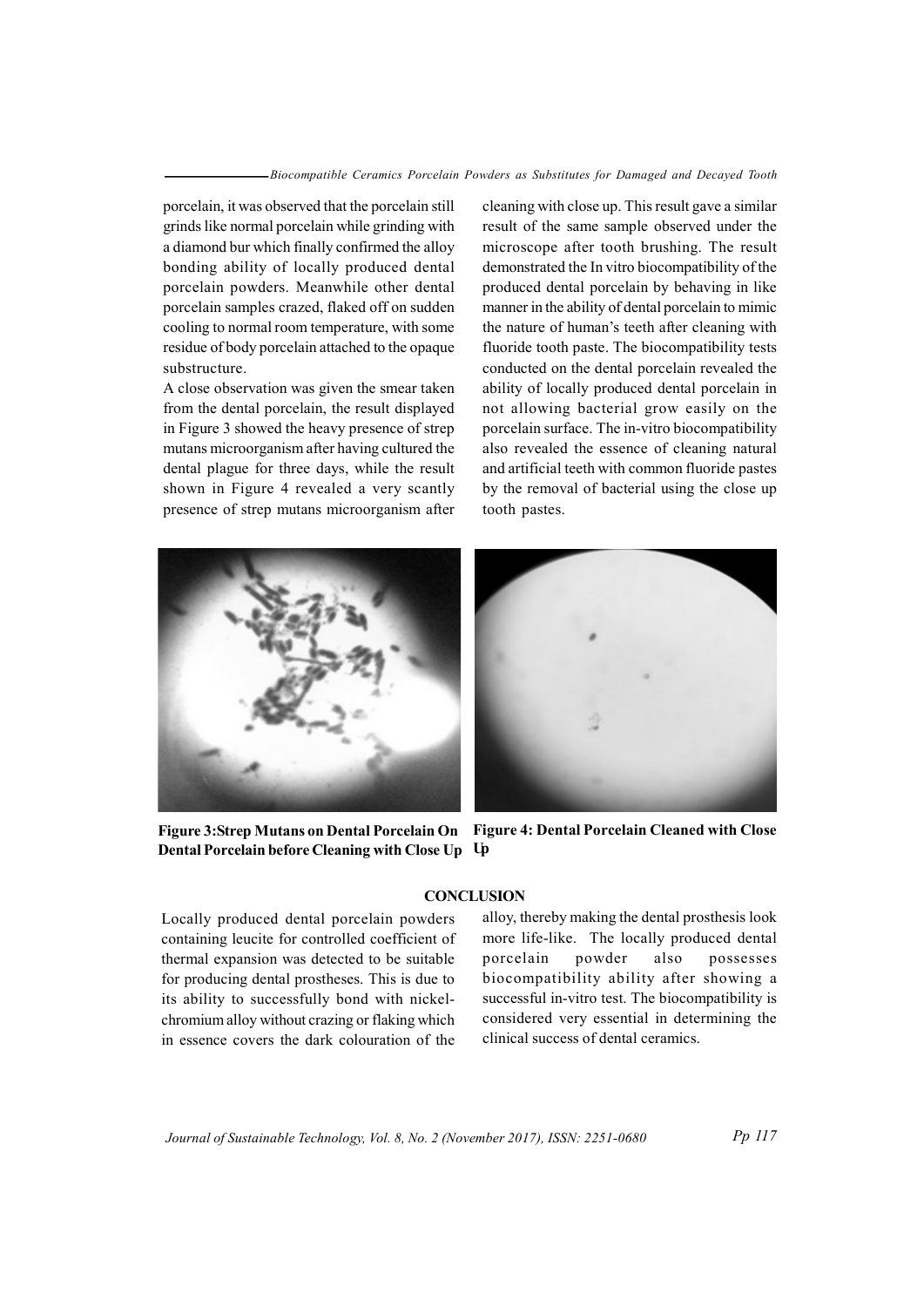porcelain, it was observed that the porcelain still grinds like normal porcelain while grinding with a diamond bur which finally confirmed the alloy bonding ability of locally produced dental porcelain powders. Meanwhile other dental porcelain samples crazed, flaked off on sudden cooling to normal room temperature, with some residue of body porcelain attached to the opaque substructure.

A close observation was given the smear taken from the dental porcelain, the result displayed in Figure 3 showed the heavy presence of strep mutans microorganism after having cultured the dental plague for three days, while the result shown in Figure 4 revealed a very scantly presence of strep mutans microorganism after cleaning with close up. This result gave a similar result of the same sample observed under the microscope after tooth brushing. The result demonstrated the In vitro biocompatibility of the produced dental porcelain by behaving in like manner in the ability of dental porcelain to mimic the nature of human's teeth after cleaning with fluoride tooth paste. The biocompatibility tests conducted on the dental porcelain revealed the ability of locally produced dental porcelain in not allowing bacterial grow easily on the porcelain surface. The in-vitro biocompatibility also revealed the essence of cleaning natural and artificial teeth with common fluoride pastes by the removal of bacterial using the close up tooth pastes.



Dental Porcelain before Cleaning with Close Up Up

Figure 3: Strep Mutans on Dental Porcelain On Figure 4: Dental Porcelain Cleaned with Close

## **CONCLUSION**

Locally produced dental porcelain powders containing leucite for controlled coefficient of thermal expansion was detected to be suitable for producing dental prostheses. This is due to its ability to successfully bond with nickelchromium alloy without crazing or flaking which in essence covers the dark colouration of the

alloy, thereby making the dental prosthesis look more life-like. The locally produced dental porcelain powder also possesses biocompatibility ability after showing a successful in-vitro test. The biocompatibility is considered very essential in determining the clinical success of dental ceramics.